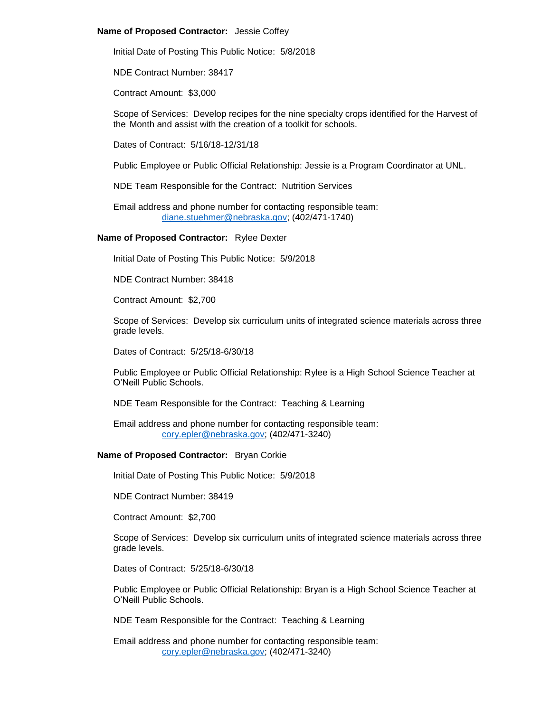#### **Name of Proposed Contractor:** Jessie Coffey

Initial Date of Posting This Public Notice: 5/8/2018

NDE Contract Number: 38417

Contract Amount: \$3,000

Scope of Services: Develop recipes for the nine specialty crops identified for the Harvest of the Month and assist with the creation of a toolkit for schools.

Dates of Contract: 5/16/18-12/31/18

Public Employee or Public Official Relationship: Jessie is a Program Coordinator at UNL.

NDE Team Responsible for the Contract: Nutrition Services

Email address and phone number for contacting responsible team: [diane.stuehmer@nebraska.gov;](mailto:diane.stuehmer@nebraska.gov) (402/471-1740)

**Name of Proposed Contractor:** Rylee Dexter

Initial Date of Posting This Public Notice: 5/9/2018

NDE Contract Number: 38418

Contract Amount: \$2,700

Scope of Services: Develop six curriculum units of integrated science materials across three grade levels.

Dates of Contract: 5/25/18-6/30/18

Public Employee or Public Official Relationship: Rylee is a High School Science Teacher at O'Neill Public Schools.

NDE Team Responsible for the Contract: Teaching & Learning

Email address and phone number for contacting responsible team: [cory.epler@nebraska.gov;](mailto:cory.epler@nebraska.gov) (402/471-3240)

# **Name of Proposed Contractor:** Bryan Corkie

Initial Date of Posting This Public Notice: 5/9/2018

NDE Contract Number: 38419

Contract Amount: \$2,700

Scope of Services: Develop six curriculum units of integrated science materials across three grade levels.

Dates of Contract: 5/25/18-6/30/18

Public Employee or Public Official Relationship: Bryan is a High School Science Teacher at O'Neill Public Schools.

NDE Team Responsible for the Contract: Teaching & Learning

Email address and phone number for contacting responsible team: [cory.epler@nebraska.gov;](mailto:cory.epler@nebraska.gov) (402/471-3240)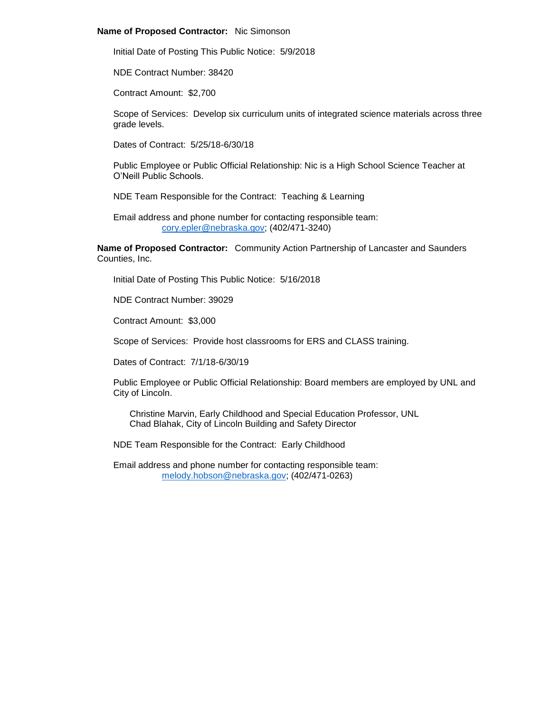### **Name of Proposed Contractor:** Nic Simonson

Initial Date of Posting This Public Notice: 5/9/2018

NDE Contract Number: 38420

Contract Amount: \$2,700

Scope of Services: Develop six curriculum units of integrated science materials across three grade levels.

Dates of Contract: 5/25/18-6/30/18

Public Employee or Public Official Relationship: Nic is a High School Science Teacher at O'Neill Public Schools.

NDE Team Responsible for the Contract: Teaching & Learning

Email address and phone number for contacting responsible team: [cory.epler@nebraska.gov;](mailto:cory.epler@nebraska.gov) (402/471-3240)

**Name of Proposed Contractor:** Community Action Partnership of Lancaster and Saunders Counties, Inc.

Initial Date of Posting This Public Notice: 5/16/2018

NDE Contract Number: 39029

Contract Amount: \$3,000

Scope of Services: Provide host classrooms for ERS and CLASS training.

Dates of Contract: 7/1/18-6/30/19

Public Employee or Public Official Relationship: Board members are employed by UNL and City of Lincoln.

Christine Marvin, Early Childhood and Special Education Professor, UNL Chad Blahak, City of Lincoln Building and Safety Director

NDE Team Responsible for the Contract: Early Childhood

Email address and phone number for contacting responsible team: [melody.hobson@nebraska.gov;](mailto:melody.hobson@nebraska.gov) (402/471-0263)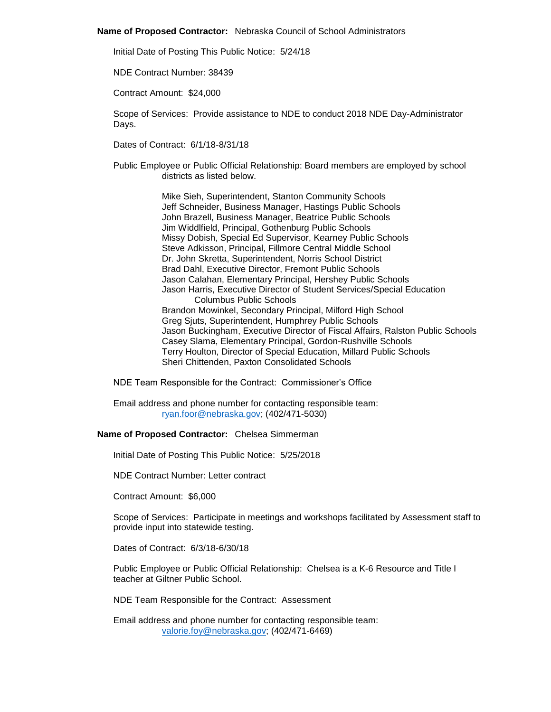#### **Name of Proposed Contractor:** Nebraska Council of School Administrators

Initial Date of Posting This Public Notice: 5/24/18

NDE Contract Number: 38439

Contract Amount: \$24,000

Scope of Services: Provide assistance to NDE to conduct 2018 NDE Day-Administrator Days.

Dates of Contract: 6/1/18-8/31/18

Public Employee or Public Official Relationship: Board members are employed by school districts as listed below.

> Mike Sieh, Superintendent, Stanton Community Schools Jeff Schneider, Business Manager, Hastings Public Schools John Brazell, Business Manager, Beatrice Public Schools Jim Widdlfield, Principal, Gothenburg Public Schools Missy Dobish, Special Ed Supervisor, Kearney Public Schools Steve Adkisson, Principal, Fillmore Central Middle School Dr. John Skretta, Superintendent, Norris School District Brad Dahl, Executive Director, Fremont Public Schools Jason Calahan, Elementary Principal, Hershey Public Schools Jason Harris, Executive Director of Student Services/Special Education Columbus Public Schools Brandon Mowinkel, Secondary Principal, Milford High School Greg Sjuts, Superintendent, Humphrey Public Schools Jason Buckingham, Executive Director of Fiscal Affairs, Ralston Public Schools Casey Slama, Elementary Principal, Gordon-Rushville Schools Terry Houlton, Director of Special Education, Millard Public Schools Sheri Chittenden, Paxton Consolidated Schools

NDE Team Responsible for the Contract: Commissioner's Office

Email address and phone number for contacting responsible team: [ryan.foor@nebraska.gov;](mailto:ryan.foor@nebraska.gov) (402/471-5030)

### **Name of Proposed Contractor:** Chelsea Simmerman

Initial Date of Posting This Public Notice: 5/25/2018

NDE Contract Number: Letter contract

Contract Amount: \$6,000

Scope of Services: Participate in meetings and workshops facilitated by Assessment staff to provide input into statewide testing.

Dates of Contract: 6/3/18-6/30/18

Public Employee or Public Official Relationship: Chelsea is a K-6 Resource and Title I teacher at Giltner Public School.

NDE Team Responsible for the Contract: Assessment

Email address and phone number for contacting responsible team: [valorie.foy@nebraska.gov;](mailto:valorie.foy@nebraska.gov) (402/471-6469)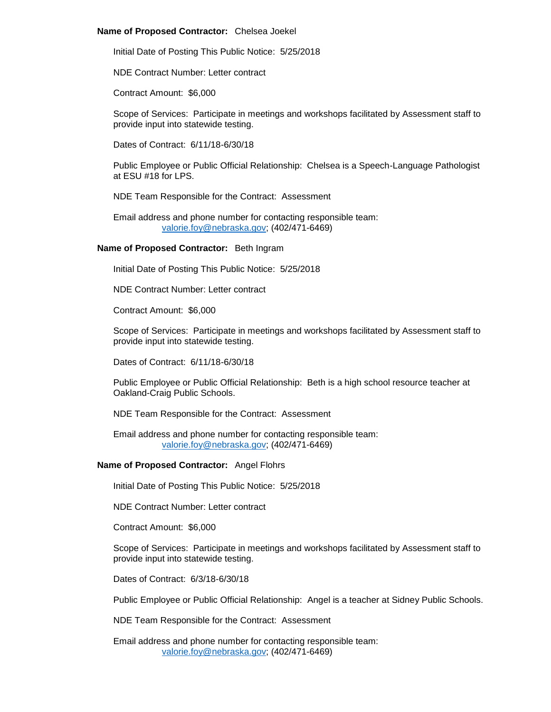### **Name of Proposed Contractor:** Chelsea Joekel

Initial Date of Posting This Public Notice: 5/25/2018

NDE Contract Number: Letter contract

Contract Amount: \$6,000

Scope of Services: Participate in meetings and workshops facilitated by Assessment staff to provide input into statewide testing.

Dates of Contract: 6/11/18-6/30/18

Public Employee or Public Official Relationship: Chelsea is a Speech-Language Pathologist at ESU #18 for LPS.

NDE Team Responsible for the Contract: Assessment

Email address and phone number for contacting responsible team: [valorie.foy@nebraska.gov;](mailto:valorie.foy@nebraska.gov) (402/471-6469)

## **Name of Proposed Contractor:** Beth Ingram

Initial Date of Posting This Public Notice: 5/25/2018

NDE Contract Number: Letter contract

Contract Amount: \$6,000

Scope of Services: Participate in meetings and workshops facilitated by Assessment staff to provide input into statewide testing.

Dates of Contract: 6/11/18-6/30/18

Public Employee or Public Official Relationship: Beth is a high school resource teacher at Oakland-Craig Public Schools.

NDE Team Responsible for the Contract: Assessment

Email address and phone number for contacting responsible team: [valorie.foy@nebraska.gov;](mailto:valorie.foy@nebraska.gov) (402/471-6469)

# **Name of Proposed Contractor:** Angel Flohrs

Initial Date of Posting This Public Notice: 5/25/2018

NDE Contract Number: Letter contract

Contract Amount: \$6,000

Scope of Services: Participate in meetings and workshops facilitated by Assessment staff to provide input into statewide testing.

Dates of Contract: 6/3/18-6/30/18

Public Employee or Public Official Relationship: Angel is a teacher at Sidney Public Schools.

NDE Team Responsible for the Contract: Assessment

Email address and phone number for contacting responsible team: [valorie.foy@nebraska.gov;](mailto:valorie.foy@nebraska.gov) (402/471-6469)